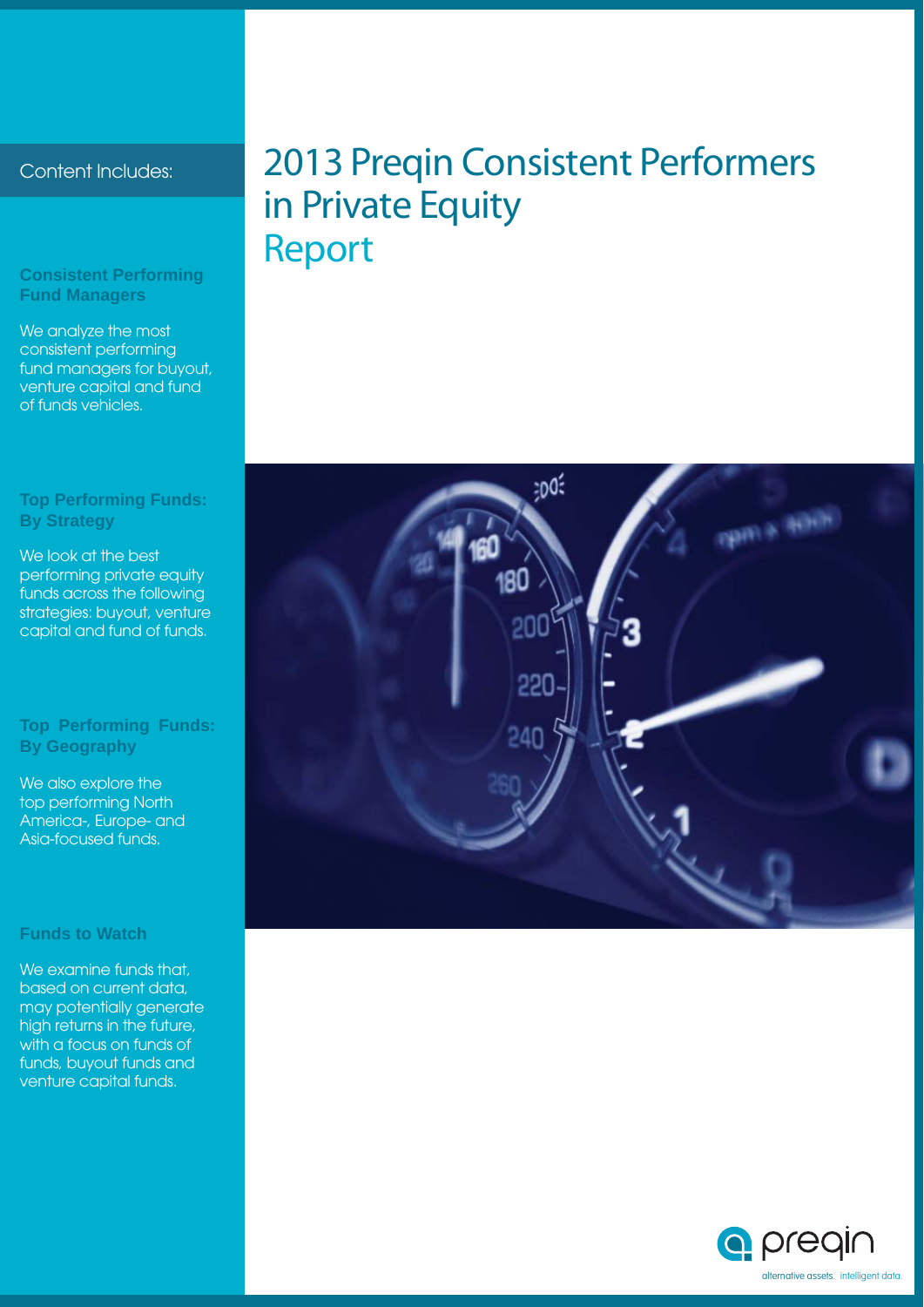#### **Consistent Performing Fund Managers**

We analyze the most consistent performing fund managers for buyout, venture capital and fund of funds vehicles.

#### **Top Performing Funds: By Strategy**

We look at the best performing private equity funds across the following strategies: buyout, venture capital and fund of funds.

#### **Top Performing Funds: By Geography**

We also explore the top performing North America-, Europe- and Asia-focused funds.

#### **Funds to Watch**

We examine funds that, based on current data, may potentially generate high returns in the future, with a focus on funds of funds, buyout funds and venture capital funds.

### Content Includes: 2013 Preqin Consistent Performers in Private Equity Report



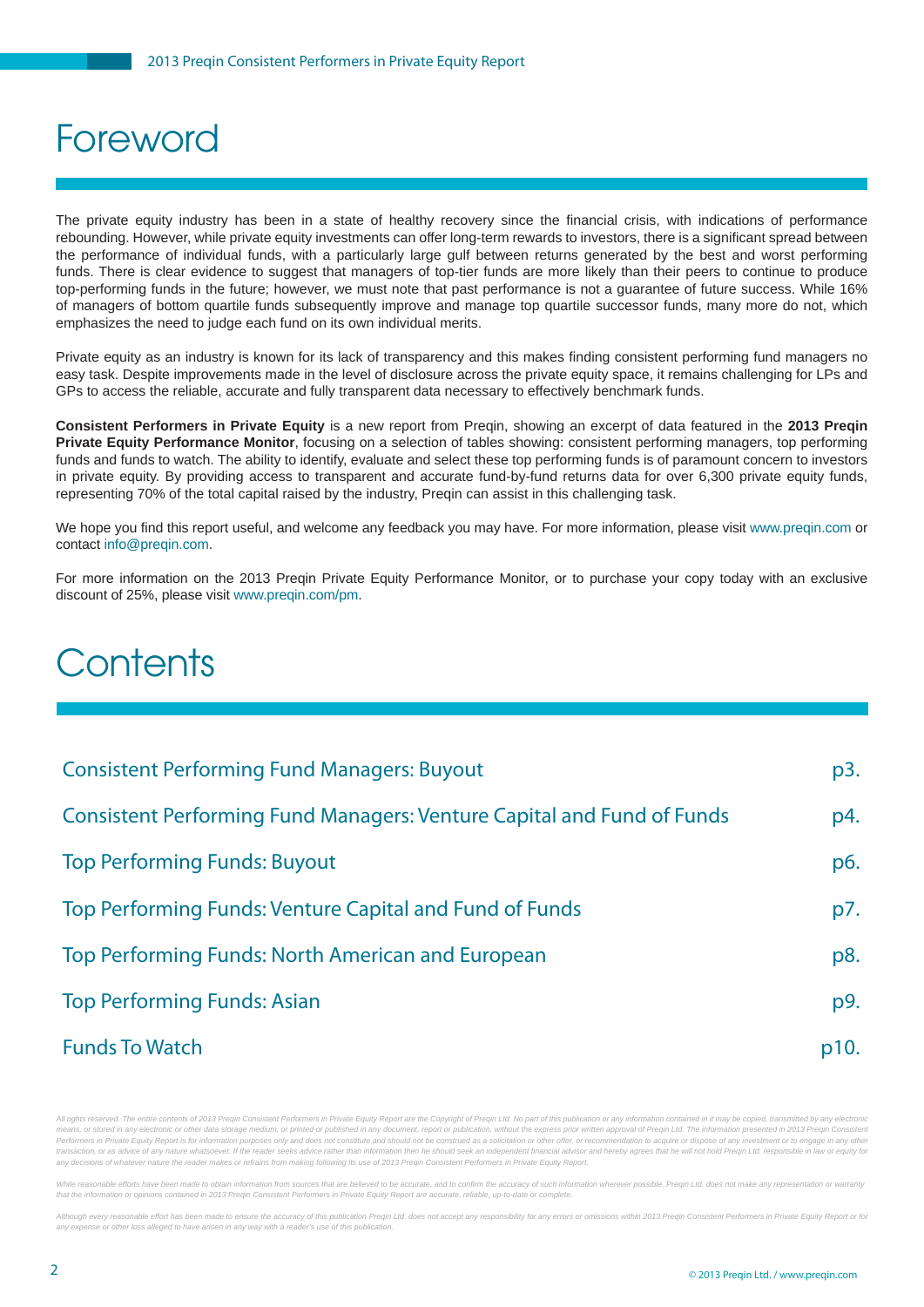### Foreword

The private equity industry has been in a state of healthy recovery since the financial crisis, with indications of performance rebounding. However, while private equity investments can offer long-term rewards to investors, there is a significant spread between the performance of individual funds, with a particularly large gulf between returns generated by the best and worst performing funds. There is clear evidence to suggest that managers of top-tier funds are more likely than their peers to continue to produce top-performing funds in the future; however, we must note that past performance is not a guarantee of future success. While 16% of managers of bottom quartile funds subsequently improve and manage top quartile successor funds, many more do not, which emphasizes the need to judge each fund on its own individual merits.

Private equity as an industry is known for its lack of transparency and this makes finding consistent performing fund managers no easy task. Despite improvements made in the level of disclosure across the private equity space, it remains challenging for LPs and GPs to access the reliable, accurate and fully transparent data necessary to effectively benchmark funds.

**Consistent Performers in Private Equity** is a new report from Preqin, showing an excerpt of data featured in the **2013 Preqin Private Equity Performance Monitor**, focusing on a selection of tables showing: consistent performing managers, top performing funds and funds to watch. The ability to identify, evaluate and select these top performing funds is of paramount concern to investors in private equity. By providing access to transparent and accurate fund-by-fund returns data for over 6,300 private equity funds, representing 70% of the total capital raised by the industry, Preqin can assist in this challenging task.

We hope you find this report useful, and welcome any feedback you may have. For more information, please visit www.preqin.com or contact info@preqin.com.

For more information on the 2013 Preqin Private Equity Performance Monitor, or to purchase your copy today with an exclusive discount of 25%, please visit www.preqin.com/pm.

### **Contents**

| <b>Consistent Performing Fund Managers: Buyout</b>                            | p3.  |
|-------------------------------------------------------------------------------|------|
| <b>Consistent Performing Fund Managers: Venture Capital and Fund of Funds</b> | p4.  |
| <b>Top Performing Funds: Buyout</b>                                           | p6.  |
| Top Performing Funds: Venture Capital and Fund of Funds                       | p7.  |
| Top Performing Funds: North American and European                             | p8.  |
| <b>Top Performing Funds: Asian</b>                                            | p9.  |
| <b>Funds To Watch</b>                                                         | p10. |

All rights reserved. The entire contents of 2013 Preqin Consistent Performers in Private Equity Report are the Copyright of Preqin Ltd. No part of this publication or any information contained in it may be copied, transmit means, or stored in any electronic or other data storage medium, or printed or published in any document, report or publication, without the express prior written approval of Pregin Ltd. The information presented in 2013 P Performers in Private Equity Report is for information purposes only and does not constitute and should not be construed as a solicitation or other offer, or recommendation to acquire or dispose of any investment or to eng transaction, or as advice of any nature whatsoever. If the reader seeks advice rather than information then he should seek an independent financial advisor and hereby agrees that he will not hold Pregin Ltd, responsible in *any decisions of whatever nature the reader makes or refrains from making following its use of 2013 Preqin Consistent Performers in Private Equity Report.*

able efforts have been made to obtain information from sources that are believed to be accurate, and to confirm the accuracy of such information wherever possible. Pregin Ltd, does not make any rec *that the information or opinions contained in 2013 Preqin Consistent Performers in Private Equity Report are accurate, reliable, up-to-date or complete.*

Although every reasonable effort has been made to ensure the accuracy of this publication Pregin Ltd. does not accept any responsibility for any errors or omissions within 2013 Pregin Consistent Performers in Private Equit any expense or other loss alleged to have arisen in any way with a reader's use of this publication.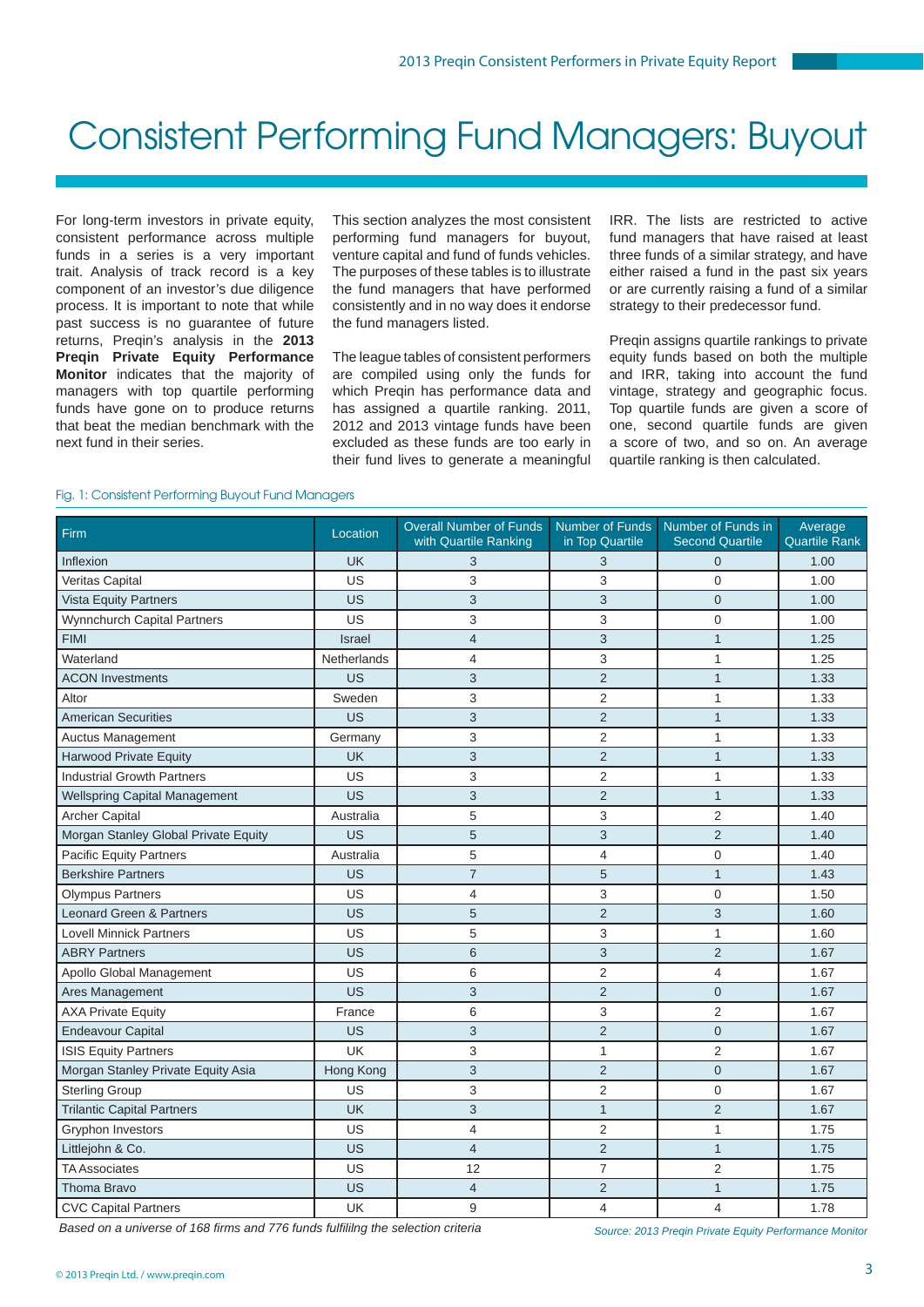### Consistent Performing Fund Managers: Buyout

For long-term investors in private equity, consistent performance across multiple funds in a series is a very important trait. Analysis of track record is a key component of an investor's due diligence process. It is important to note that while past success is no guarantee of future returns, Preqin's analysis in the **2013 Preqin Private Equity Performance Monitor** indicates that the majority of managers with top quartile performing funds have gone on to produce returns that beat the median benchmark with the next fund in their series.

This section analyzes the most consistent performing fund managers for buyout, venture capital and fund of funds vehicles. The purposes of these tables is to illustrate the fund managers that have performed consistently and in no way does it endorse the fund managers listed.

The league tables of consistent performers are compiled using only the funds for which Preqin has performance data and has assigned a quartile ranking. 2011, 2012 and 2013 vintage funds have been excluded as these funds are too early in their fund lives to generate a meaningful IRR. The lists are restricted to active fund managers that have raised at least three funds of a similar strategy, and have either raised a fund in the past six years or are currently raising a fund of a similar strategy to their predecessor fund.

Pregin assigns quartile rankings to private equity funds based on both the multiple and IRR, taking into account the fund vintage, strategy and geographic focus. Top quartile funds are given a score of one, second quartile funds are given a score of two, and so on. An average quartile ranking is then calculated.

#### Fig. 1: Consistent Performing Buyout Fund Managers

| Firm                                 | Location           | <b>Overall Number of Funds</b><br>with Quartile Ranking | Number of Funds<br>in Top Quartile | Number of Funds in<br><b>Second Quartile</b> | Average<br><b>Quartile Rank</b> |
|--------------------------------------|--------------------|---------------------------------------------------------|------------------------------------|----------------------------------------------|---------------------------------|
| Inflexion                            | <b>UK</b>          | 3                                                       | 3                                  | $\overline{0}$                               | 1.00                            |
| Veritas Capital                      | US                 | 3                                                       | 3                                  | 0                                            | 1.00                            |
| <b>Vista Equity Partners</b>         | US                 | 3                                                       | 3                                  | $\overline{0}$                               | 1.00                            |
| Wynnchurch Capital Partners          | US                 | 3                                                       | 3                                  | 0                                            | 1.00                            |
| <b>FIMI</b>                          | <b>Israel</b>      | $\overline{4}$                                          | 3                                  | $\mathbf{1}$                                 | 1.25                            |
| Waterland                            | <b>Netherlands</b> | 4                                                       | 3                                  | $\mathbf{1}$                                 | 1.25                            |
| <b>ACON Investments</b>              | US                 | 3                                                       | $\overline{2}$                     | $\mathbf{1}$                                 | 1.33                            |
| Altor                                | Sweden             | 3                                                       | $\overline{2}$                     | $\mathbf{1}$                                 | 1.33                            |
| <b>American Securities</b>           | US                 | 3                                                       | $\overline{2}$                     | $\mathbf{1}$                                 | 1.33                            |
| <b>Auctus Management</b>             | Germany            | 3                                                       | $\overline{2}$                     | 1                                            | 1.33                            |
| <b>Harwood Private Equity</b>        | <b>UK</b>          | 3                                                       | $\overline{2}$                     | $\mathbf{1}$                                 | 1.33                            |
| <b>Industrial Growth Partners</b>    | US                 | 3                                                       | $\overline{2}$                     | $\mathbf{1}$                                 | 1.33                            |
| <b>Wellspring Capital Management</b> | <b>US</b>          | 3                                                       | $\overline{2}$                     | $\mathbf{1}$                                 | 1.33                            |
| <b>Archer Capital</b>                | Australia          | 5                                                       | 3                                  | $\overline{2}$                               | 1.40                            |
| Morgan Stanley Global Private Equity | US                 | 5                                                       | 3                                  | $\overline{2}$                               | 1.40                            |
| <b>Pacific Equity Partners</b>       | Australia          | 5                                                       | 4                                  | 0                                            | 1.40                            |
| <b>Berkshire Partners</b>            | US                 | $\overline{7}$                                          | 5                                  | $\mathbf{1}$                                 | 1.43                            |
| <b>Olympus Partners</b>              | US                 | 4                                                       | 3                                  | 0                                            | 1.50                            |
| Leonard Green & Partners             | US                 | 5                                                       | $\overline{2}$                     | 3                                            | 1.60                            |
| <b>Lovell Minnick Partners</b>       | US                 | 5                                                       | 3                                  | $\mathbf{1}$                                 | 1.60                            |
| <b>ABRY Partners</b>                 | US                 | 6                                                       | 3                                  | $\overline{2}$                               | 1.67                            |
| Apollo Global Management             | US                 | 6                                                       | $\overline{2}$                     | $\overline{4}$                               | 1.67                            |
| Ares Management                      | US                 | $\ensuremath{\mathsf{3}}$                               | $\overline{2}$                     | $\overline{0}$                               | 1.67                            |
| <b>AXA Private Equity</b>            | France             | 6                                                       | 3                                  | $\overline{2}$                               | 1.67                            |
| <b>Endeavour Capital</b>             | US                 | 3                                                       | $\overline{c}$                     | $\mathbf 0$                                  | 1.67                            |
| <b>ISIS Equity Partners</b>          | UK                 | 3                                                       | 1                                  | $\overline{2}$                               | 1.67                            |
| Morgan Stanley Private Equity Asia   | Hong Kong          | 3                                                       | $\overline{2}$                     | $\overline{0}$                               | 1.67                            |
| <b>Sterling Group</b>                | US                 | 3                                                       | 2                                  | 0                                            | 1.67                            |
| <b>Trilantic Capital Partners</b>    | <b>UK</b>          | 3                                                       | $\mathbf{1}$                       | $\overline{2}$                               | 1.67                            |
| Gryphon Investors                    | US                 | $\overline{4}$                                          | $\overline{2}$                     | $\mathbf{1}$                                 | 1.75                            |
| Littlejohn & Co.                     | US                 | 4                                                       | $\overline{2}$                     | $\mathbf{1}$                                 | 1.75                            |
| <b>TA Associates</b>                 | US                 | 12                                                      | $\overline{7}$                     | $\overline{c}$                               | 1.75                            |
| <b>Thoma Bravo</b>                   | US                 | $\overline{4}$                                          | $\overline{2}$                     | $\mathbf{1}$                                 | 1.75                            |
| <b>CVC Capital Partners</b>          | <b>UK</b>          | 9                                                       | 4                                  | $\overline{4}$                               | 1.78                            |

**Based on a universe of 168 firms and 776 funds fulfiling the selection criteria** Source: 2013 Preqin Private Equity Performance Monitor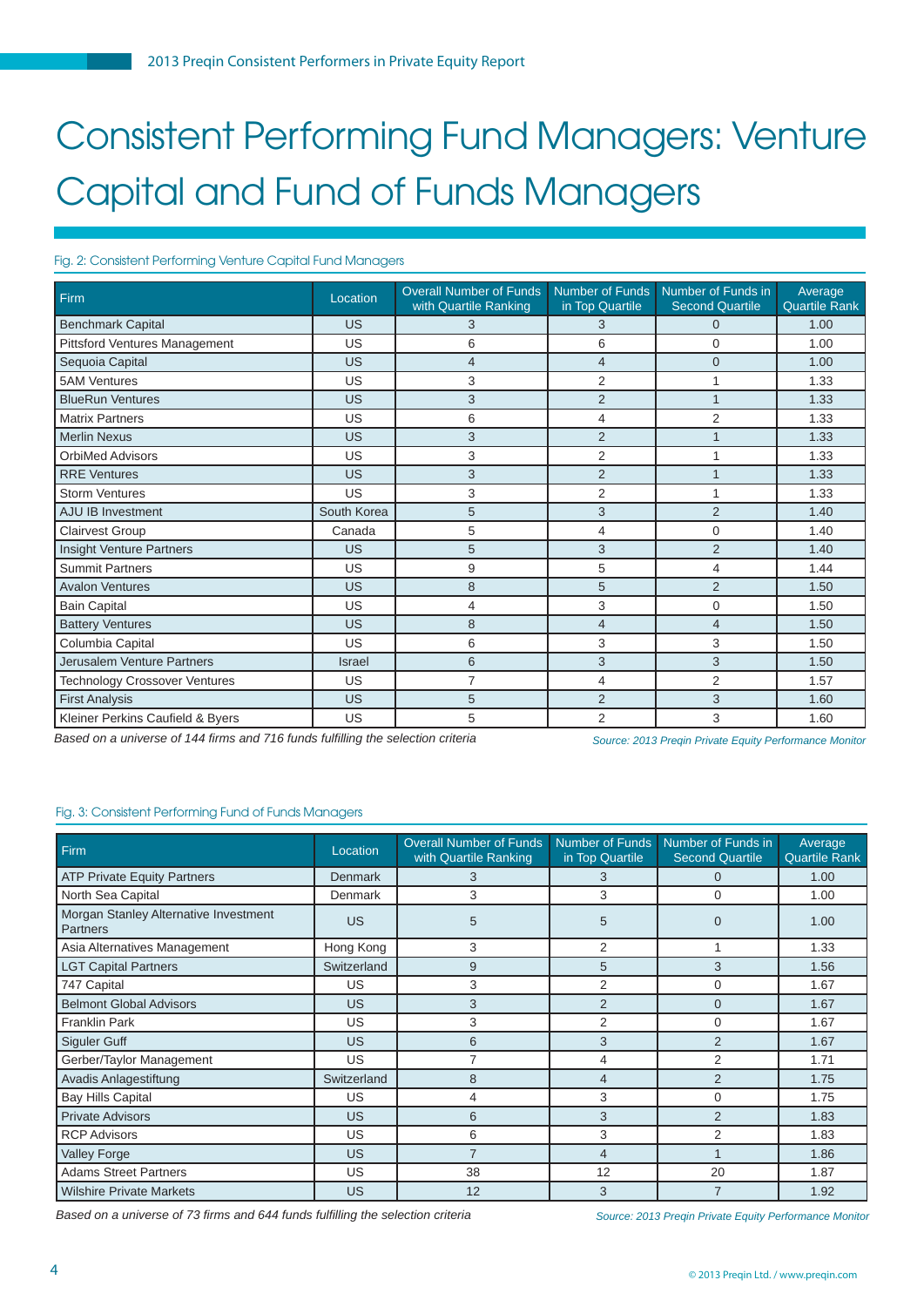## Consistent Performing Fund Managers: Venture Capital and Fund of Funds Managers

#### Fig. 2: Consistent Performing Venture Capital Fund Managers

| Firm                                 | Location      | <b>Overall Number of Funds</b><br>with Quartile Ranking | <b>Number of Funds</b><br>in Top Quartile | Number of Funds in<br><b>Second Quartile</b> | Average<br><b>Quartile Rank</b> |
|--------------------------------------|---------------|---------------------------------------------------------|-------------------------------------------|----------------------------------------------|---------------------------------|
| <b>Benchmark Capital</b>             | US            | 3                                                       | 3                                         | 0                                            | 1.00                            |
| Pittsford Ventures Management        | US            | 6                                                       | 6                                         | 0                                            | 1.00                            |
| Sequoia Capital                      | US            | $\overline{4}$                                          | $\overline{4}$                            | $\Omega$                                     | 1.00                            |
| <b>5AM Ventures</b>                  | US            | 3                                                       | $\overline{2}$                            |                                              | 1.33                            |
| <b>BlueRun Ventures</b>              | US            | 3                                                       | $\overline{2}$                            | $\overline{A}$                               | 1.33                            |
| <b>Matrix Partners</b>               | US            | 6                                                       | 4                                         | 2                                            | 1.33                            |
| <b>Merlin Nexus</b>                  | US            | 3                                                       | $\overline{2}$                            |                                              | 1.33                            |
| <b>OrbiMed Advisors</b>              | US            | 3                                                       | 2                                         |                                              | 1.33                            |
| <b>RRE</b> Ventures                  | US            | 3                                                       | $\overline{2}$                            |                                              | 1.33                            |
| <b>Storm Ventures</b>                | US            | 3                                                       | 2                                         |                                              | 1.33                            |
| <b>AJU IB Investment</b>             | South Korea   | 5                                                       | 3                                         | $\overline{2}$                               | 1.40                            |
| <b>Clairvest Group</b>               | Canada        | 5                                                       | 4                                         | $\Omega$                                     | 1.40                            |
| Insight Venture Partners             | US            | 5                                                       | 3                                         | $\overline{2}$                               | 1.40                            |
| <b>Summit Partners</b>               | US            | 9                                                       | 5                                         | 4                                            | 1.44                            |
| <b>Avalon Ventures</b>               | US            | 8                                                       | 5                                         | $\overline{2}$                               | 1.50                            |
| <b>Bain Capital</b>                  | US            | 4                                                       | 3                                         | $\Omega$                                     | 1.50                            |
| <b>Battery Ventures</b>              | US            | 8                                                       | $\overline{4}$                            | $\overline{4}$                               | 1.50                            |
| Columbia Capital                     | US            | 6                                                       | 3                                         | 3                                            | 1.50                            |
| Jerusalem Venture Partners           | <b>Israel</b> | 6                                                       | 3                                         | 3                                            | 1.50                            |
| <b>Technology Crossover Ventures</b> | US            | 7                                                       | 4                                         | $\overline{2}$                               | 1.57                            |
| <b>First Analysis</b>                | <b>US</b>     | 5                                                       | $\overline{2}$                            | 3                                            | 1.60                            |
| Kleiner Perkins Caufield & Byers     | US            | 5                                                       | $\overline{2}$                            | 3                                            | 1.60                            |

*Based on a universe of 144 fi rms and 716 funds fulfi lling the selection criteria*

*Source: 2013 Preqin Private Equity Performance Monitor*

#### Fig. 3: Consistent Performing Fund of Funds Managers

| Firm                                              | Location       | <b>Overall Number of Funds</b><br>with Quartile Ranking | in Top Quartile | Number of Funds Number of Funds in<br><b>Second Quartile</b> | Average<br><b>Quartile Rank</b> |
|---------------------------------------------------|----------------|---------------------------------------------------------|-----------------|--------------------------------------------------------------|---------------------------------|
| <b>ATP Private Equity Partners</b>                | <b>Denmark</b> | 3                                                       | 3               | 0                                                            | 1.00                            |
| North Sea Capital                                 | <b>Denmark</b> | 3                                                       | 3               | 0                                                            | 1.00                            |
| Morgan Stanley Alternative Investment<br>Partners | <b>US</b>      | 5                                                       | 5               | $\Omega$                                                     | 1.00                            |
| Asia Alternatives Management                      | Hong Kong      | 3                                                       | $\overline{2}$  |                                                              | 1.33                            |
| <b>LGT Capital Partners</b>                       | Switzerland    | 9                                                       | 5               | 3                                                            | 1.56                            |
| 747 Capital                                       | US             | 3                                                       | $\overline{2}$  | 0                                                            | 1.67                            |
| <b>Belmont Global Advisors</b>                    | US             | 3                                                       | $\overline{2}$  | $\Omega$                                                     | 1.67                            |
| <b>Franklin Park</b>                              | US             | 3                                                       | $\overline{2}$  | 0                                                            | 1.67                            |
| Siguler Guff                                      | US             | 6                                                       | 3               | $\overline{2}$                                               | 1.67                            |
| Gerber/Taylor Management                          | US             | $\overline{7}$                                          | 4               | $\overline{2}$                                               | 1.71                            |
| Avadis Anlagestiftung                             | Switzerland    | 8                                                       | 4               | 2                                                            | 1.75                            |
| <b>Bay Hills Capital</b>                          | US             | 4                                                       | 3               | $\Omega$                                                     | 1.75                            |
| <b>Private Advisors</b>                           | <b>US</b>      | 6                                                       | 3               | $\overline{2}$                                               | 1.83                            |
| <b>RCP Advisors</b>                               | US             | 6                                                       | 3               | 2                                                            | 1.83                            |
| <b>Valley Forge</b>                               | <b>US</b>      | $\overline{7}$                                          | $\overline{4}$  |                                                              | 1.86                            |
| <b>Adams Street Partners</b>                      | US             | 38                                                      | 12              | 20                                                           | 1.87                            |
| <b>Wilshire Private Markets</b>                   | US             | 12                                                      | 3               | $\overline{7}$                                               | 1.92                            |

*Based on a universe of 73 fi rms and 644 funds fulfi lling the selection criteria*

*Source: 2013 Preqin Private Equity Performance Monitor*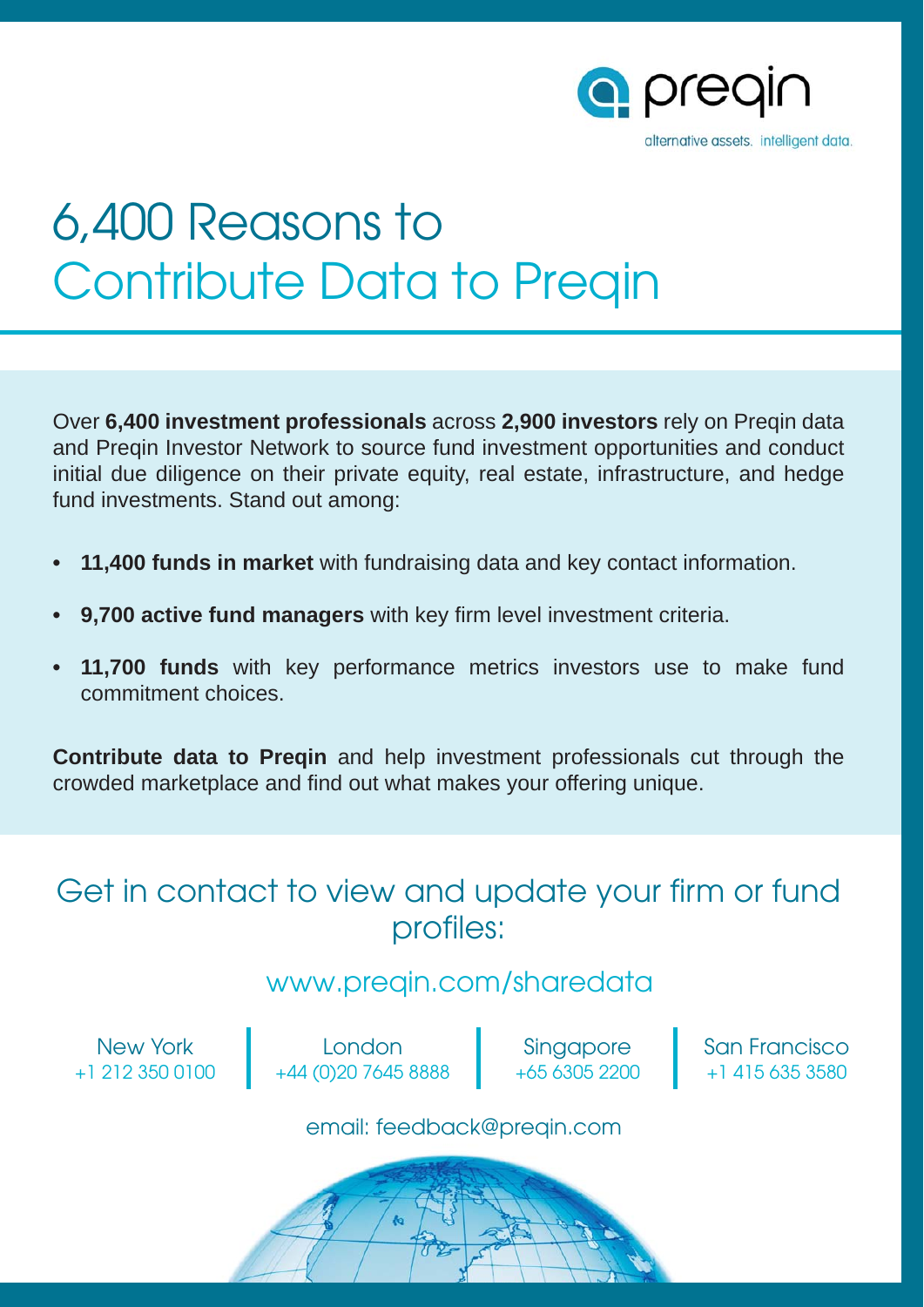

# 6,400 Reasons to Contribute Data to Preqin

Over **6,400 investment professionals** across **2,900 investors** rely on Preqin data and Preqin Investor Network to source fund investment opportunities and conduct initial due diligence on their private equity, real estate, infrastructure, and hedge fund investments. Stand out among:

- **11,400 funds in market** with fundraising data and key contact information.
- **9,700 active fund managers** with key firm level investment criteria.
- **11,700 funds** with key performance metrics investors use to make fund commitment choices.

**Contribute data to Preqin** and help investment professionals cut through the crowded marketplace and find out what makes your offering unique.

### Get in contact to view and update your firm or fund profiles:

### www.preqin.com/sharedata

New York +1 212 350 0100

London +44 (0)20 7645 8888

Singapore +65 6305 2200 San Francisco +1 415 635 3580

email: feedback@preqin.com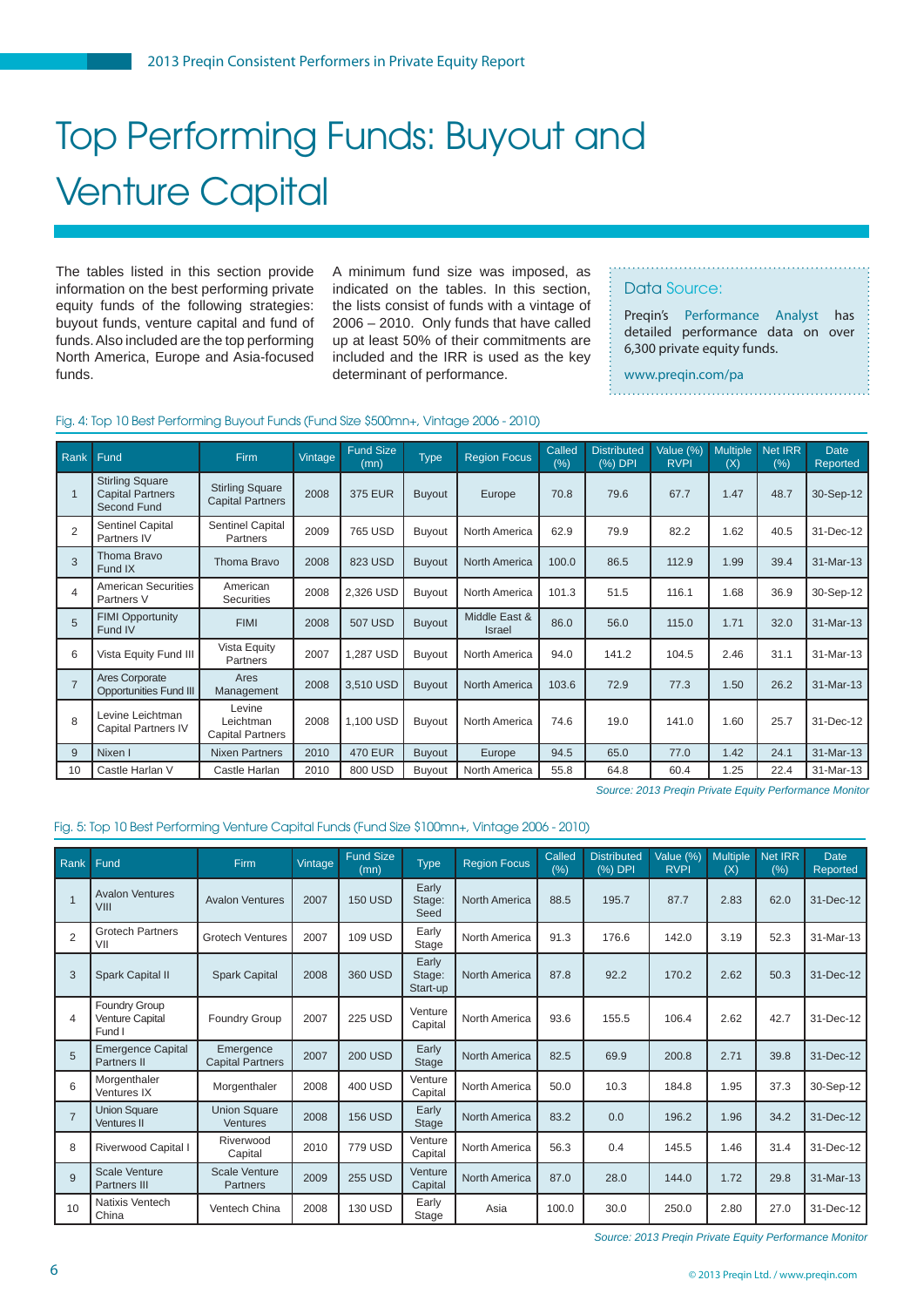## Top Performing Funds: Buyout and Venture Capital

The tables listed in this section provide information on the best performing private equity funds of the following strategies: buyout funds, venture capital and fund of funds. Also included are the top performing North America, Europe and Asia-focused funds.

A minimum fund size was imposed, as indicated on the tables. In this section, the lists consist of funds with a vintage of 2006 – 2010. Only funds that have called up at least 50% of their commitments are included and the IRR is used as the key determinant of performance.

#### Data Source:

Preqin's [Performance Analyst](www.preqin.com/pa) has detailed performance data on over 6,300 private equity funds.

www.preqin.com/pa. . . . . . . . . . . . . . . .

#### Fig. 4: Top 10 Best Performing Buyout Funds (Fund Size \$500mn+, Vintage 2006 - 2010)

| Rank            | Fund                                                             | <b>Firm</b>                                       | Vintage | <b>Fund Size</b><br>(mn) | <b>Type</b>   | <b>Region Focus</b>     | Called<br>(%) | <b>Distributed</b><br>$(%)$ DPI | Value (%)<br><b>RVPI</b> | <b>Multiple</b><br>(X) | Net IRR<br>$(\%)$ | <b>Date</b><br>Reported |
|-----------------|------------------------------------------------------------------|---------------------------------------------------|---------|--------------------------|---------------|-------------------------|---------------|---------------------------------|--------------------------|------------------------|-------------------|-------------------------|
|                 | <b>Stirling Square</b><br><b>Capital Partners</b><br>Second Fund | <b>Stirling Square</b><br><b>Capital Partners</b> | 2008    | <b>375 EUR</b>           | <b>Buyout</b> | Europe                  | 70.8          | 79.6                            | 67.7                     | 1.47                   | 48.7              | 30-Sep-12               |
| $\overline{2}$  | Sentinel Capital<br>Partners IV                                  | Sentinel Capital<br>Partners                      | 2009    | 765 USD                  | <b>Buyout</b> | North America           | 62.9          | 79.9                            | 82.2                     | 1.62                   | 40.5              | 31-Dec-12               |
| 3               | Thoma Bravo<br>Fund IX                                           | Thoma Bravo                                       | 2008    | 823 USD                  | <b>Buyout</b> | <b>North America</b>    | 100.0         | 86.5                            | 112.9                    | 1.99                   | 39.4              | 31-Mar-13               |
| $\overline{4}$  | <b>American Securities</b><br>Partners V                         | American<br><b>Securities</b>                     | 2008    | 2,326 USD                | <b>Buyout</b> | North America           | 101.3         | 51.5                            | 116.1                    | 1.68                   | 36.9              | 30-Sep-12               |
| $5\overline{5}$ | <b>FIMI Opportunity</b><br>Fund IV                               | <b>FIMI</b>                                       | 2008    | <b>507 USD</b>           | <b>Buyout</b> | Middle East &<br>Israel | 86.0          | 56.0                            | 115.0                    | 1.71                   | 32.0              | 31-Mar-13               |
| 6               | Vista Equity Fund III                                            | Vista Equity<br>Partners                          | 2007    | 1,287 USD                | <b>Buyout</b> | North America           | 94.0          | 141.2                           | 104.5                    | 2.46                   | 31.1              | 31-Mar-13               |
| $\overline{7}$  | Ares Corporate<br><b>Opportunities Fund III</b>                  | Ares<br>Management                                | 2008    | 3,510 USD                | <b>Buyout</b> | North America           | 103.6         | 72.9                            | 77.3                     | 1.50                   | 26.2              | 31-Mar-13               |
| 8               | Levine Leichtman<br><b>Capital Partners IV</b>                   | Levine<br>Leichtman<br><b>Capital Partners</b>    | 2008    | 1,100 USD                | <b>Buyout</b> | North America           | 74.6          | 19.0                            | 141.0                    | 1.60                   | 25.7              | 31-Dec-12               |
| 9               | Nixen I                                                          | <b>Nixen Partners</b>                             | 2010    | <b>470 EUR</b>           | <b>Buyout</b> | Europe                  | 94.5          | 65.0                            | 77.0                     | 1.42                   | 24.1              | 31-Mar-13               |
| 10              | Castle Harlan V                                                  | Castle Harlan                                     | 2010    | 800 USD                  | Buyout        | North America           | 55.8          | 64.8                            | 60.4                     | 1.25                   | 22.4              | 31-Mar-13               |

*Source: 2013 Preqin Private Equity Performance Monitor*

#### Fig. 5: Top 10 Best Performing Venture Capital Funds (Fund Size \$100mn+, Vintage 2006 - 2010)

| Rank           | Fund                                              | Firm                                   | Vintage | <b>Fund Size</b><br>(mn) | <b>Type</b>                 | <b>Region Focus</b>  | Called<br>(% ) | <b>Distributed</b><br>(%) DPI | Value (%)<br><b>RVPI</b> | <b>Multiple</b><br>(X) | <b>Net IRR</b><br>$(\%)$ | <b>Date</b><br>Reported |
|----------------|---------------------------------------------------|----------------------------------------|---------|--------------------------|-----------------------------|----------------------|----------------|-------------------------------|--------------------------|------------------------|--------------------------|-------------------------|
|                | <b>Avalon Ventures</b><br>VIII                    | <b>Avalon Ventures</b>                 | 2007    | <b>150 USD</b>           | Early<br>Stage:<br>Seed     | North America        | 88.5           | 195.7                         | 87.7                     | 2.83                   | 62.0                     | 31-Dec-12               |
| 2              | <b>Grotech Partners</b><br>VII                    | <b>Grotech Ventures</b>                | 2007    | <b>109 USD</b>           | Early<br>Stage              | North America        | 91.3           | 176.6                         | 142.0                    | 3.19                   | 52.3                     | 31-Mar-13               |
| 3              | Spark Capital II                                  | <b>Spark Capital</b>                   | 2008    | 360 USD                  | Early<br>Stage:<br>Start-up | <b>North America</b> | 87.8           | 92.2                          | 170.2                    | 2.62                   | 50.3                     | 31-Dec-12               |
| $\overline{4}$ | Foundry Group<br><b>Venture Capital</b><br>Fund I | <b>Foundry Group</b>                   | 2007    | <b>225 USD</b>           | Venture<br>Capital          | North America        | 93.6           | 155.5                         | 106.4                    | 2.62                   | 42.7                     | 31-Dec-12               |
| 5              | <b>Emergence Capital</b><br><b>Partners II</b>    | Emergence<br><b>Capital Partners</b>   | 2007    | <b>200 USD</b>           | Early<br>Stage              | <b>North America</b> | 82.5           | 69.9                          | 200.8                    | 2.71                   | 39.8                     | 31-Dec-12               |
| 6              | Morgenthaler<br>Ventures IX                       | Morgenthaler                           | 2008    | <b>400 USD</b>           | Venture<br>Capital          | North America        | 50.0           | 10.3                          | 184.8                    | 1.95                   | 37.3                     | 30-Sep-12               |
| $\overline{7}$ | <b>Union Square</b><br><b>Ventures II</b>         | <b>Union Square</b><br><b>Ventures</b> | 2008    | <b>156 USD</b>           | Early<br>Stage              | <b>North America</b> | 83.2           | 0.0                           | 196.2                    | 1.96                   | 34.2                     | 31-Dec-12               |
| 8              | Riverwood Capital I                               | Riverwood<br>Capital                   | 2010    | <b>779 USD</b>           | Venture<br>Capital          | North America        | 56.3           | 0.4                           | 145.5                    | 1.46                   | 31.4                     | 31-Dec-12               |
| 9              | <b>Scale Venture</b><br>Partners III              | <b>Scale Venture</b><br>Partners       | 2009    | <b>255 USD</b>           | Venture<br>Capital          | <b>North America</b> | 87.0           | 28.0                          | 144.0                    | 1.72                   | 29.8                     | 31-Mar-13               |
| 10             | Natixis Ventech<br>China                          | Ventech China                          | 2008    | <b>130 USD</b>           | Early<br>Stage              | Asia                 | 100.0          | 30.0                          | 250.0                    | 2.80                   | 27.0                     | 31-Dec-12               |

*Source: 2013 Preqin Private Equity Performance Monitor*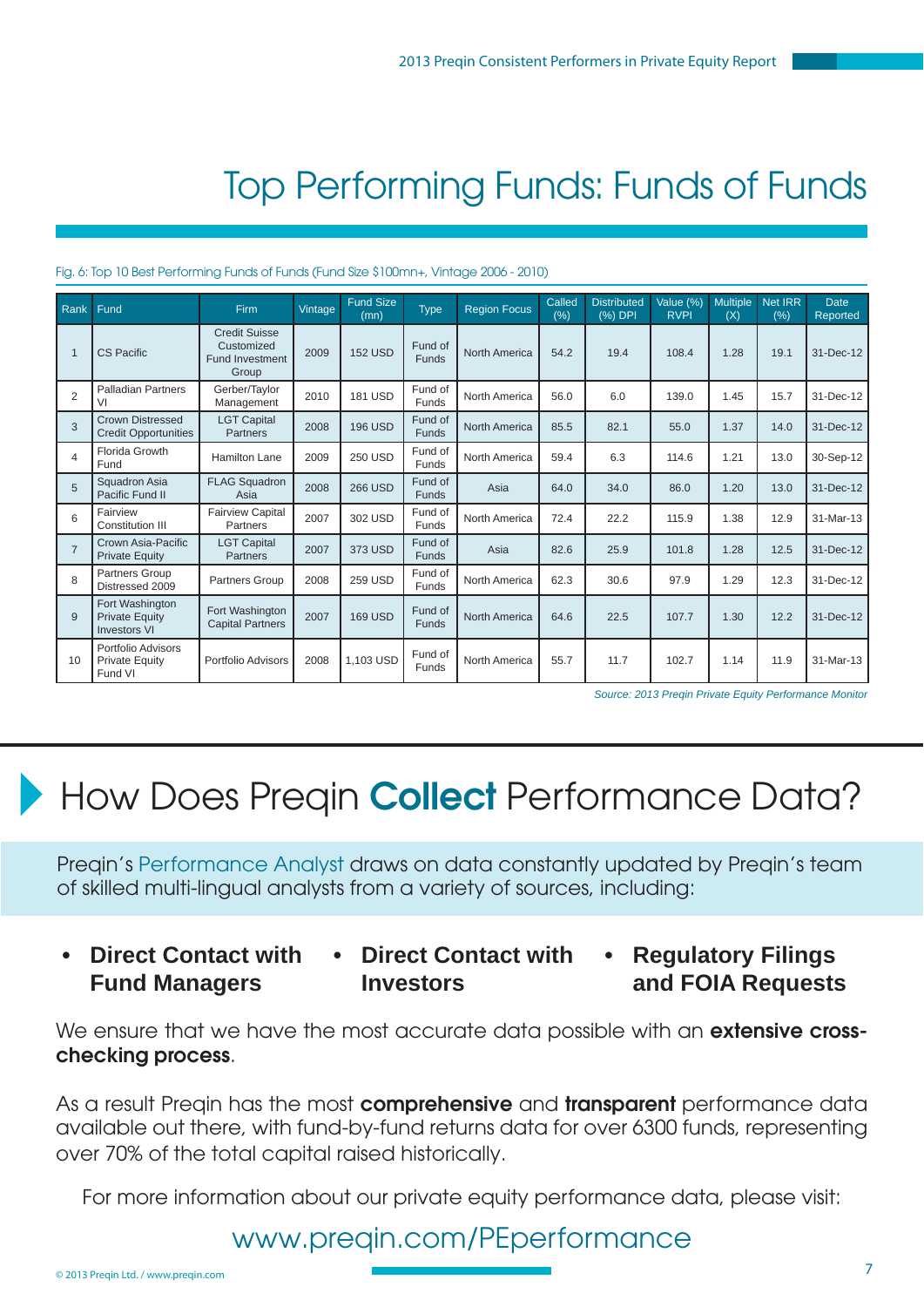## Top Performing Funds: Funds of Funds

#### Fig. 6: Top 10 Best Performing Funds of Funds (Fund Size \$100mn+, Vintage 2006 - 2010)

| Rank           | Fund                                                            | Firm                                                                  | Vintage | <b>Fund Size</b><br>(mn) | <b>Type</b>             | <b>Region Focus</b>  | Called<br>$(\% )$ | <b>Distributed</b><br>(%) DPI | Value (%)<br><b>RVPI</b> | <b>Multiple</b><br>(X) | <b>Net IRR</b><br>(% ) | <b>Date</b><br>Reported |
|----------------|-----------------------------------------------------------------|-----------------------------------------------------------------------|---------|--------------------------|-------------------------|----------------------|-------------------|-------------------------------|--------------------------|------------------------|------------------------|-------------------------|
|                | <b>CS Pacific</b>                                               | <b>Credit Suisse</b><br>Customized<br><b>Fund Investment</b><br>Group | 2009    | <b>152 USD</b>           | Fund of<br><b>Funds</b> | <b>North America</b> | 54.2              | 19.4                          | 108.4                    | 1.28                   | 19.1                   | 31-Dec-12               |
| $\overline{2}$ | <b>Palladian Partners</b><br>VI                                 | Gerber/Taylor<br>Management                                           | 2010    | <b>181 USD</b>           | Fund of<br>Funds        | North America        | 56.0              | 6.0                           | 139.0                    | 1.45                   | 15.7                   | 31-Dec-12               |
| 3              | <b>Crown Distressed</b><br><b>Credit Opportunities</b>          | <b>LGT Capital</b><br><b>Partners</b>                                 | 2008    | <b>196 USD</b>           | Fund of<br>Funds        | North America        | 85.5              | 82.1                          | 55.0                     | 1.37                   | 14.0                   | 31-Dec-12               |
| 4              | Florida Growth<br>Fund                                          | <b>Hamilton Lane</b>                                                  | 2009    | <b>250 USD</b>           | Fund of<br>Funds        | North America        | 59.4              | 6.3                           | 114.6                    | 1.21                   | 13.0                   | 30-Sep-12               |
| 5              | Squadron Asia<br>Pacific Fund II                                | <b>FLAG Squadron</b><br>Asia                                          | 2008    | <b>266 USD</b>           | Fund of<br><b>Funds</b> | Asia                 | 64.0              | 34.0                          | 86.0                     | 1.20                   | 13.0                   | 31-Dec-12               |
| 6              | Fairview<br><b>Constitution III</b>                             | <b>Fairview Capital</b><br>Partners                                   | 2007    | 302 USD                  | Fund of<br>Funds        | North America        | 72.4              | 22.2                          | 115.9                    | 1.38                   | 12.9                   | 31-Mar-13               |
| $\overline{7}$ | Crown Asia-Pacific<br><b>Private Equity</b>                     | <b>LGT Capital</b><br>Partners                                        | 2007    | 373 USD                  | Fund of<br><b>Funds</b> | Asia                 | 82.6              | 25.9                          | 101.8                    | 1.28                   | 12.5                   | 31-Dec-12               |
| 8              | Partners Group<br>Distressed 2009                               | Partners Group                                                        | 2008    | <b>259 USD</b>           | Fund of<br>Funds        | North America        | 62.3              | 30.6                          | 97.9                     | 1.29                   | 12.3                   | 31-Dec-12               |
| 9              | Fort Washington<br><b>Private Equity</b><br><b>Investors VI</b> | Fort Washington<br><b>Capital Partners</b>                            | 2007    | <b>169 USD</b>           | Fund of<br>Funds        | North America        | 64.6              | 22.5                          | 107.7                    | 1.30                   | 12.2                   | 31-Dec-12               |
| 10             | Portfolio Advisors<br><b>Private Equity</b><br>Fund VI          | Portfolio Advisors                                                    | 2008    | 1,103 USD                | Fund of<br>Funds        | North America        | 55.7              | 11.7                          | 102.7                    | 1.14                   | 11.9                   | 31-Mar-13               |

*Source: 2013 Preqin Private Equity Performance Monitor*

## How Does Preqin **Collect** Performance Data?

Preqin'[s Performance Analyst d](www.preqin.com/pa)raws on data constantly updated by Preqin's team of skilled multi-lingual analysts from a variety of sources, including:

- **Direct Contact with Fund Managers**
- **Direct Contact with Investors**
- **Regulatory Filings and FOIA Requests**

We ensure that we have the most accurate data possible with an **extensive crosschecking process**.

As a result Preqin has the most **comprehensive** and **transparent** performance data available out there, with fund-by-fund returns data for over 6300 funds, representing over 70% of the total capital raised historically.

For more information about our private equity performance data, please visit:

### www.preqin.com/PEperformance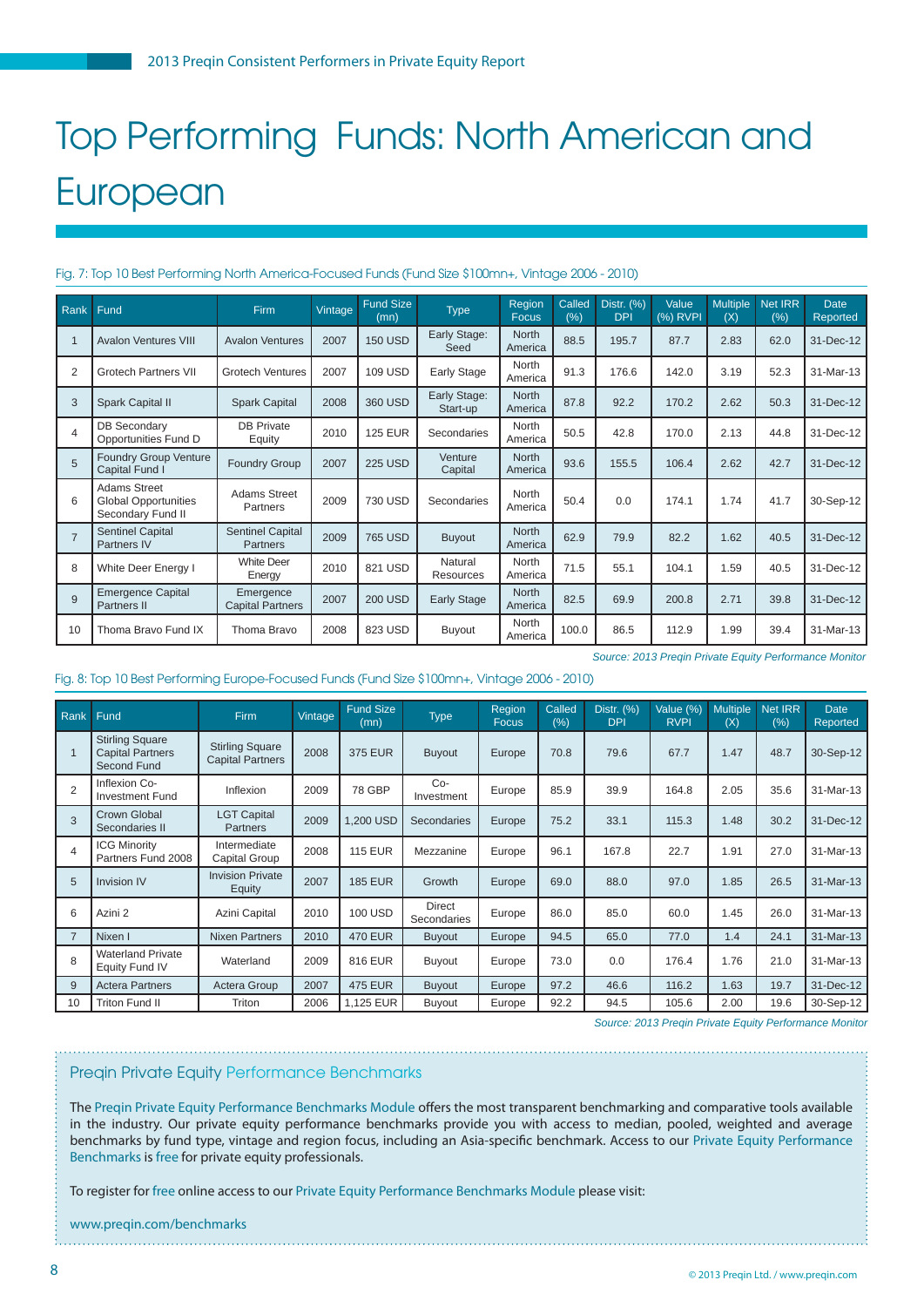## Top Performing Funds: North American and **European**

#### Fig. 7: Top 10 Best Performing North America-Focused Funds (Fund Size \$100mn+, Vintage 2006 - 2010)

| Rank           | Fund                                                                    | Firm                                 | Vintage | <b>Fund Size</b><br>(mn) | <b>Type</b>              | Region<br><b>Focus</b>  | Called<br>(%) | Distr. (%)<br><b>DPI</b> | Value<br>(%) RVPI | <b>Multiple</b><br>(X) | Net IRR<br>(% ) | <b>Date</b><br><b>Reported</b> |
|----------------|-------------------------------------------------------------------------|--------------------------------------|---------|--------------------------|--------------------------|-------------------------|---------------|--------------------------|-------------------|------------------------|-----------------|--------------------------------|
|                | <b>Avalon Ventures VIII</b>                                             | <b>Avalon Ventures</b>               | 2007    | <b>150 USD</b>           | Early Stage:<br>Seed     | <b>North</b><br>America | 88.5          | 195.7                    | 87.7              | 2.83                   | 62.0            | 31-Dec-12                      |
| 2              | <b>Grotech Partners VII</b>                                             | <b>Grotech Ventures</b>              | 2007    | <b>109 USD</b>           | Early Stage              | North<br>America        | 91.3          | 176.6                    | 142.0             | 3.19                   | 52.3            | 31-Mar-13                      |
| 3              | Spark Capital II                                                        | <b>Spark Capital</b>                 | 2008    | 360 USD                  | Early Stage:<br>Start-up | <b>North</b><br>America | 87.8          | 92.2                     | 170.2             | 2.62                   | 50.3            | 31-Dec-12                      |
| $\overline{4}$ | <b>DB Secondary</b><br>Opportunities Fund D                             | <b>DB Private</b><br>Equity          | 2010    | <b>125 EUR</b>           | Secondaries              | North<br>America        | 50.5          | 42.8                     | 170.0             | 2.13                   | 44.8            | 31-Dec-12                      |
| 5              | Foundry Group Venture<br>Capital Fund I                                 | <b>Foundry Group</b>                 | 2007    | <b>225 USD</b>           | Venture<br>Capital       | North<br>America        | 93.6          | 155.5                    | 106.4             | 2.62                   | 42.7            | 31-Dec-12                      |
| 6              | <b>Adams Street</b><br><b>Global Opportunities</b><br>Secondary Fund II | Adams Street<br>Partners             | 2009    | 730 USD                  | Secondaries              | North<br>America        | 50.4          | 0.0                      | 174.1             | 1.74                   | 41.7            | 30-Sep-12                      |
|                | <b>Sentinel Capital</b><br>Partners IV                                  | <b>Sentinel Capital</b><br>Partners  | 2009    | <b>765 USD</b>           | <b>Buyout</b>            | <b>North</b><br>America | 62.9          | 79.9                     | 82.2              | 1.62                   | 40.5            | 31-Dec-12                      |
| 8              | White Deer Energy I                                                     | <b>White Deer</b><br>Energy          | 2010    | 821 USD                  | Natural<br>Resources     | North<br>America        | 71.5          | 55.1                     | 104.1             | 1.59                   | 40.5            | 31-Dec-12                      |
| 9              | <b>Emergence Capital</b><br>Partners II                                 | Emergence<br><b>Capital Partners</b> | 2007    | <b>200 USD</b>           | <b>Early Stage</b>       | <b>North</b><br>America | 82.5          | 69.9                     | 200.8             | 2.71                   | 39.8            | 31-Dec-12                      |
| 10             | Thoma Bravo Fund IX                                                     | Thoma Bravo                          | 2008    | 823 USD                  | Buyout                   | North<br>America        | 100.0         | 86.5                     | 112.9             | 1.99                   | 39.4            | 31-Mar-13                      |

*Source: 2013 Preqin Private Equity Performance Monitor*

#### Fig. 8: Top 10 Best Performing Europe-Focused Funds (Fund Size \$100mn+, Vintage 2006 - 2010)

| Rank           | Fund                                                             | Firm                                              | Vintage | <b>Fund Size</b><br>(mn) | <b>Type</b>           | Region<br><b>Focus</b> | Called<br>(% ) | Distr. (%)<br><b>DPI</b> | Value (%)<br><b>RVPI</b> | <b>Multiple</b><br>(X) | <b>Net IRR</b><br>(%) | <b>Date</b><br>Reported |
|----------------|------------------------------------------------------------------|---------------------------------------------------|---------|--------------------------|-----------------------|------------------------|----------------|--------------------------|--------------------------|------------------------|-----------------------|-------------------------|
|                | <b>Stirling Square</b><br><b>Capital Partners</b><br>Second Fund | <b>Stirling Square</b><br><b>Capital Partners</b> | 2008    | <b>375 EUR</b>           | <b>Buyout</b>         | Europe                 | 70.8           | 79.6                     | 67.7                     | 1.47                   | 48.7                  | 30-Sep-12               |
| $\overline{2}$ | Inflexion Co-<br><b>Investment Fund</b>                          | Inflexion                                         | 2009    | 78 GBP                   | $Co-$<br>Investment   | Europe                 | 85.9           | 39.9                     | 164.8                    | 2.05                   | 35.6                  | 31-Mar-13               |
| 3              | <b>Crown Global</b><br>Secondaries II                            | <b>LGT Capital</b><br><b>Partners</b>             | 2009    | 1.200 USD                | Secondaries           | Europe                 | 75.2           | 33.1                     | 115.3                    | 1.48                   | 30.2                  | 31-Dec-12               |
| 4              | <b>ICG Minority</b><br>Partners Fund 2008                        | Intermediate<br>Capital Group                     | 2008    | <b>115 EUR</b>           | Mezzanine             | Europe                 | 96.1           | 167.8                    | 22.7                     | 1.91                   | 27.0                  | 31-Mar-13               |
| 5              | <b>Invision IV</b>                                               | <b>Invision Private</b><br>Equity                 | 2007    | <b>185 EUR</b>           | Growth                | Europe                 | 69.0           | 88.0                     | 97.0                     | 1.85                   | 26.5                  | 31-Mar-13               |
| 6              | Azini 2                                                          | Azini Capital                                     | 2010    | <b>100 USD</b>           | Direct<br>Secondaries | Europe                 | 86.0           | 85.0                     | 60.0                     | 1.45                   | 26.0                  | 31-Mar-13               |
| $\overline{7}$ | Nixen I                                                          | Nixen Partners                                    | 2010    | <b>470 EUR</b>           | <b>Buyout</b>         | Europe                 | 94.5           | 65.0                     | 77.0                     | 1.4                    | 24.1                  | 31-Mar-13               |
| 8              | <b>Waterland Private</b><br>Equity Fund IV                       | Waterland                                         | 2009    | 816 EUR                  | Buyout                | Europe                 | 73.0           | 0.0                      | 176.4                    | 1.76                   | 21.0                  | 31-Mar-13               |
| 9              | <b>Actera Partners</b>                                           | Actera Group                                      | 2007    | <b>475 EUR</b>           | <b>Buyout</b>         | Europe                 | 97.2           | 46.6                     | 116.2                    | 1.63                   | 19.7                  | 31-Dec-12               |
| 10             | <b>Triton Fund II</b>                                            | Triton                                            | 2006    | 1,125 EUR                | Buyout                | Europe                 | 92.2           | 94.5                     | 105.6                    | 2.00                   | 19.6                  | 30-Sep-12               |

*Source: 2013 Preqin Private Equity Performance Monitor*

#### Preqin Private Equity Performance Benchmarks

The Pregin Private Equity Performance Benchmarks Module offers the most transparent benchmarking and comparative tools available in the industry. Our private equity performance benchmarks provide you with access to median, pooled, weighted and average benchmarks by fund type, vintage and region focus, including an Asia-specific benchmark. Access to our Private Equity Performance [Benchmarks](www.preqin.com/benchmarks) is free for private equity professionals.

To register for free online access to our [Private Equity Performance Benchmarks Module p](www.preqin.com/benchmarks)lease visit:

www.preqin.com/benchmarks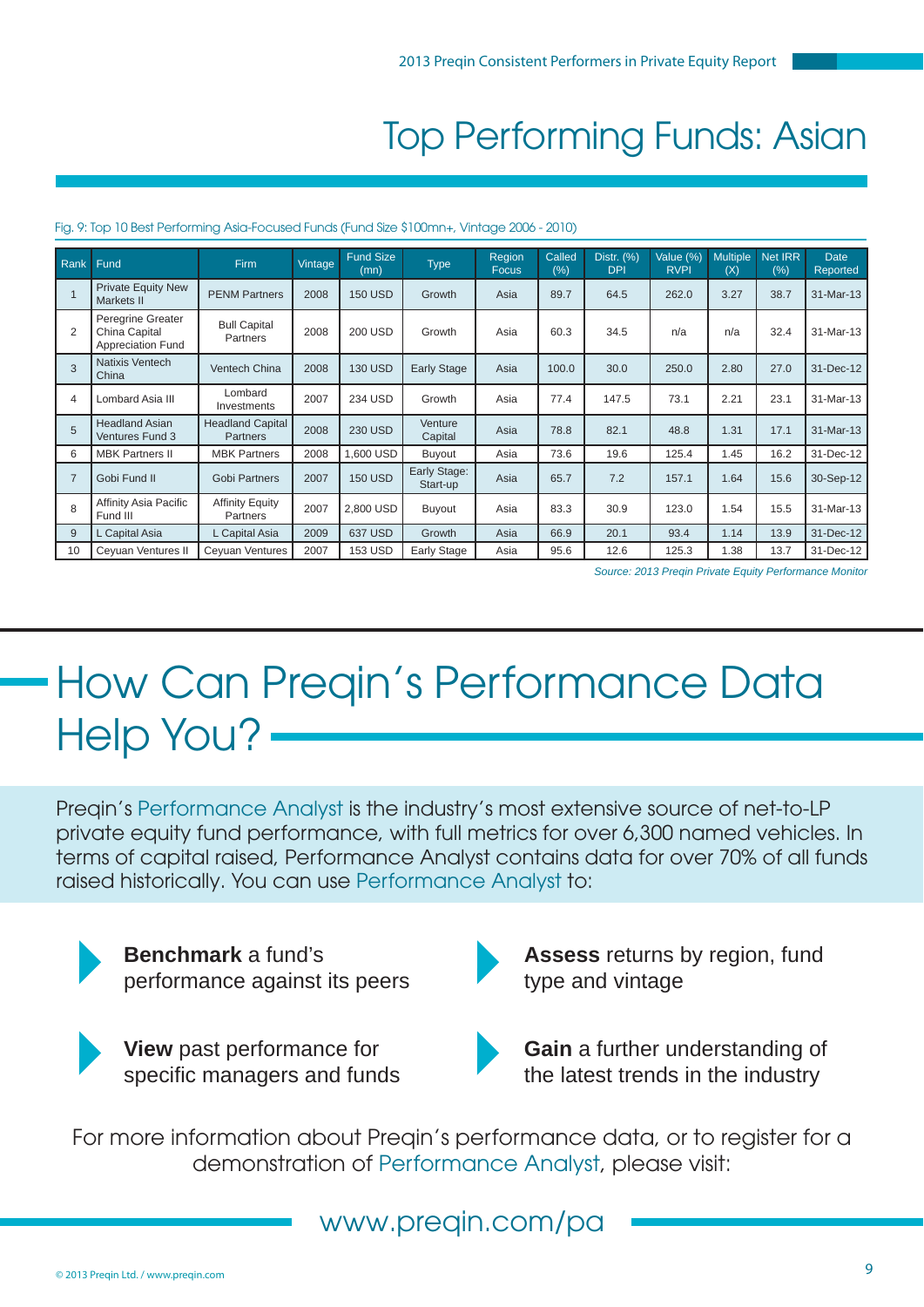### Top Performing Funds: Asian

| Rank           | Fund                                                    | Firm                                       | Vintage | <b>Fund Size</b><br>(mn) | <b>Type</b>              | Region<br><b>Focus</b> | Called<br>(%) | Distr. (%)<br><b>DPI</b> | Value (%)<br><b>RVPI</b> | <b>Multiple</b><br>(X) | <b>Net IRR</b><br>(% ) | <b>Date</b><br>Reported |
|----------------|---------------------------------------------------------|--------------------------------------------|---------|--------------------------|--------------------------|------------------------|---------------|--------------------------|--------------------------|------------------------|------------------------|-------------------------|
|                | <b>Private Equity New</b><br>Markets II                 | <b>PENM Partners</b>                       | 2008    | <b>150 USD</b>           | Growth                   | Asia                   | 89.7          | 64.5                     | 262.0                    | 3.27                   | 38.7                   | 31-Mar-13               |
| 2              | Peregrine Greater<br>China Capital<br>Appreciation Fund | <b>Bull Capital</b><br><b>Partners</b>     | 2008    | <b>200 USD</b>           | Growth                   | Asia                   | 60.3          | 34.5                     | n/a                      | n/a                    | 32.4                   | 31-Mar-13               |
| 3              | Natixis Ventech<br>China                                | Ventech China                              | 2008    | <b>130 USD</b>           | <b>Early Stage</b>       | Asia                   | 100.0         | 30.0                     | 250.0                    | 2.80                   | 27.0                   | 31-Dec-12               |
| 4              | Lombard Asia III                                        | Lombard<br>Investments                     | 2007    | 234 USD                  | Growth                   | Asia                   | 77.4          | 147.5                    | 73.1                     | 2.21                   | 23.1                   | 31-Mar-13               |
| 5              | <b>Headland Asian</b><br>Ventures Fund 3                | <b>Headland Capital</b><br><b>Partners</b> | 2008    | <b>230 USD</b>           | Venture<br>Capital       | Asia                   | 78.8          | 82.1                     | 48.8                     | 1.31                   | 17.1                   | 31-Mar-13               |
| 6              | <b>MBK Partners II</b>                                  | <b>MBK Partners</b>                        | 2008    | 1,600 USD                | Buyout                   | Asia                   | 73.6          | 19.6                     | 125.4                    | 1.45                   | 16.2                   | 31-Dec-12               |
| $\overline{7}$ | Gobi Fund II                                            | <b>Gobi Partners</b>                       | 2007    | <b>150 USD</b>           | Early Stage:<br>Start-up | Asia                   | 65.7          | 7.2                      | 157.1                    | 1.64                   | 15.6                   | 30-Sep-12               |
| 8              | Affinity Asia Pacific<br>Fund III                       | <b>Affinity Equity</b><br>Partners         | 2007    | 2,800 USD                | <b>Buyout</b>            | Asia                   | 83.3          | 30.9                     | 123.0                    | 1.54                   | 15.5                   | 31-Mar-13               |
| 9              | Capital Asia                                            | L Capital Asia                             | 2009    | 637 USD                  | Growth                   | Asia                   | 66.9          | 20.1                     | 93.4                     | 1.14                   | 13.9                   | 31-Dec-12               |
| 10             | Ceyuan Ventures II                                      | Ceyuan Ventures                            | 2007    | <b>153 USD</b>           | Early Stage              | Asia                   | 95.6          | 12.6                     | 125.3                    | 1.38                   | 13.7                   | 31-Dec-12               |

#### Fig. 9: Top 10 Best Performing Asia-Focused Funds (Fund Size \$100mn+, Vintage 2006 - 2010)

*Source: 2013 Preqin Private Equity Performance Monitor*

## How Can Preqin's Performance Data Help You?

Preqin's [Performance Analyst](www.preqin.com/pa) is the industry's most extensive source of net-to-LP private equity fund performance, with full metrics for over 6,300 named vehicles. In terms of capital raised, Performance Analyst contains data for over 70% of all funds raised historically. You can use [Performance Analyst](www.preqin.com/pa) to:



**Benchmark** a fund's performance against its peers



**View** past performance for specific managers and funds



**Assess** returns by region, fund type and vintage



**Gain** a further understanding of the latest trends in the industry

For more information about Preqin's performance data, or to register for a demonstration of [Performance Analyst,](www.preqin.com/pa) please visit:

### www.preqin.com/pa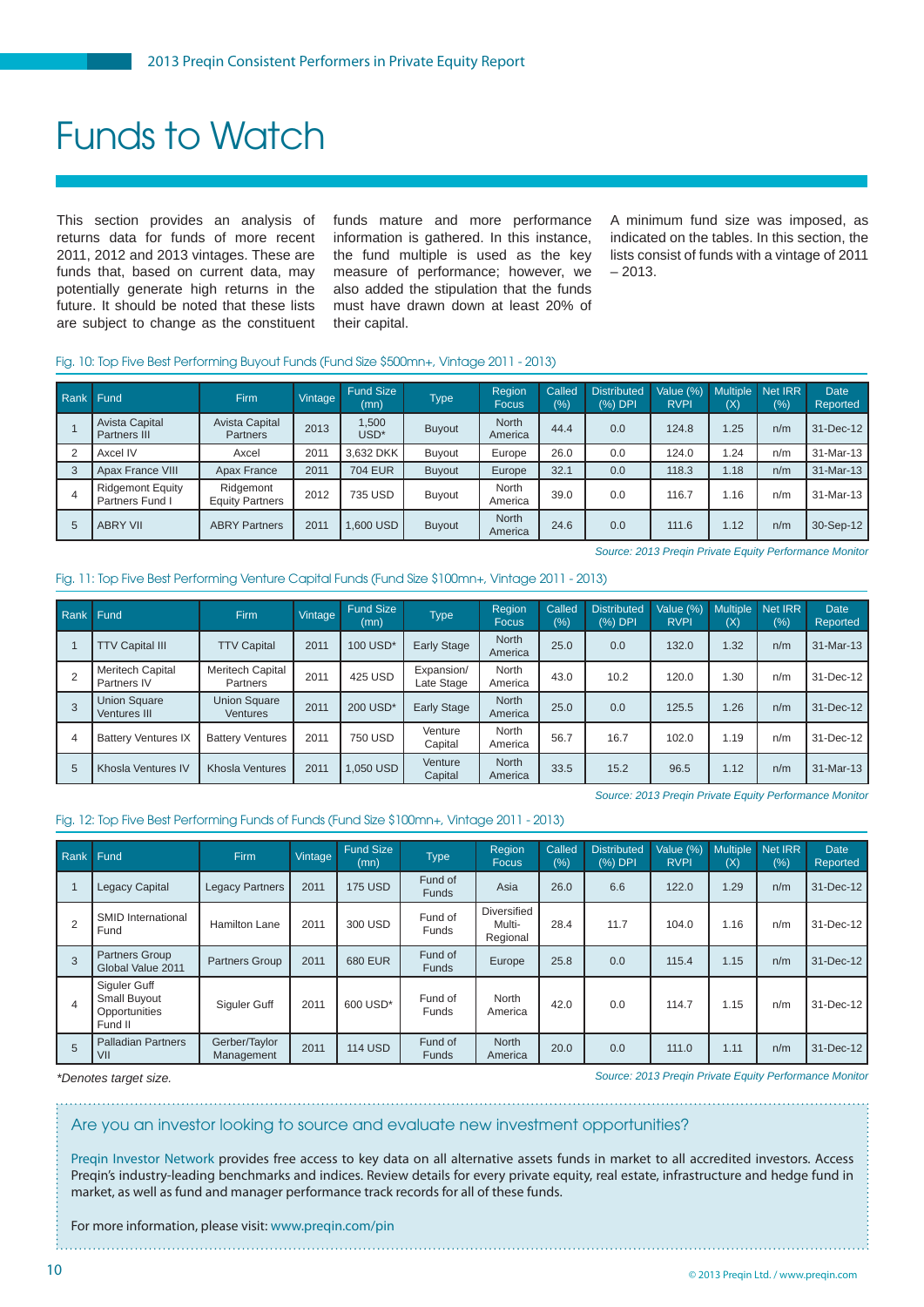### Funds to Watch

This section provides an analysis of returns data for funds of more recent 2011, 2012 and 2013 vintages. These are funds that, based on current data, may potentially generate high returns in the future. It should be noted that these lists are subject to change as the constituent

funds mature and more performance information is gathered. In this instance, the fund multiple is used as the key measure of performance; however, we also added the stipulation that the funds must have drawn down at least 20% of their capital.

A minimum fund size was imposed, as indicated on the tables. In this section, the lists consist of funds with a vintage of 2011  $-2013$ 

#### Fig. 10: Top Five Best Performing Buyout Funds (Fund Size \$500mn+, Vintage 2011 - 2013)

| Rank | Fund                                       | <b>Firm</b>                         | Vintage | <b>Fund Size</b><br>(mn)  | <b>Type</b>   | Region<br><b>Focus</b>  | Called<br>(%) | <b>Distributed</b><br>(%) DPI | Value (%)<br><b>RVPI</b> | (X)  | Multiple Net IRR<br>(%) | <b>Date</b><br>Reported |
|------|--------------------------------------------|-------------------------------------|---------|---------------------------|---------------|-------------------------|---------------|-------------------------------|--------------------------|------|-------------------------|-------------------------|
|      | Avista Capital<br>Partners III             | Avista Capital<br><b>Partners</b>   | 2013    | 1,500<br>USD <sup>*</sup> | <b>Buyout</b> | <b>North</b><br>America | 44.4          | 0.0                           | 124.8                    | .25  | n/m                     | 31-Dec-12               |
|      | Axcel IV                                   | Axcel                               | 2011    | 3.632 DKK                 | Buyout        | Europe                  | 26.0          | 0.0                           | 124.0                    | .24  | n/m                     | 31-Mar-13               |
|      | Apax France VIII                           | Apax France                         | 2011    | <b>704 EUR</b>            | Buyout        | Europe                  | 32.1          | 0.0                           | 118.3                    | 1.18 | n/m                     | 31-Mar-13               |
|      | <b>Ridgemont Equity</b><br>Partners Fund I | Ridgemont<br><b>Equity Partners</b> | 2012    | 735 USD                   | Buyout        | <b>North</b><br>America | 39.0          | 0.0                           | 116.7                    | .16  | n/m                     | 31-Mar-13               |
|      | <b>ABRY VII</b>                            | <b>ABRY Partners</b>                | 2011    | 1.600 USD                 | Buyout        | <b>North</b><br>America | 24.6          | 0.0                           | 111.6                    | 1.12 | n/m                     | 30-Sep-12               |

*Source: 2013 Preqin Private Equity Performance Monitor*

#### Fig. 11: Top Five Best Performing Venture Capital Funds (Fund Size \$100mn+, Vintage 2011 - 2013)

| Rank Fund |                                        | <b>Firm</b>                     | Vintage | <b>Fund Size</b><br>(mn) | <b>Type</b>              | Region<br><b>Focus</b>  | Called<br>(%) | <b>Distributed</b><br>(%) DPI | Value (%)<br><b>RVPI</b> | <b>Multiple</b><br>(X) | Net IRR<br>(%) | <b>Date</b><br>Reported |
|-----------|----------------------------------------|---------------------------------|---------|--------------------------|--------------------------|-------------------------|---------------|-------------------------------|--------------------------|------------------------|----------------|-------------------------|
|           | <b>TTV Capital III</b>                 | <b>TTV Capital</b>              | 2011    | 100 USD*                 | <b>Early Stage</b>       | <b>North</b><br>America | 25.0          | 0.0                           | 132.0                    | 1.32                   | n/m            | 31-Mar-13               |
|           | <b>Meritech Capital</b><br>Partners IV | Meritech Capital<br>Partners    | 2011    | 425 USD                  | Expansion/<br>Late Stage | North<br>America        | 43.0          | 10.2                          | 120.0                    | 1.30                   | n/m            | 31-Dec-12               |
|           | <b>Union Square</b><br>Ventures III    | <b>Union Square</b><br>Ventures | 2011    | 200 USD <sup>*</sup>     | <b>Early Stage</b>       | <b>North</b><br>America | 25.0          | 0.0                           | 125.5                    | 1.26                   | n/m            | 31-Dec-12               |
| 4         | <b>Battery Ventures IX</b>             | <b>Battery Ventures</b>         | 2011    | <b>750 USD</b>           | Venture<br>Capital       | <b>North</b><br>America | 56.7          | 16.7                          | 102.0                    | 1.19                   | n/m            | 31-Dec-12               |
| 5         | Khosla Ventures IV                     | <b>Khosla Ventures</b>          | 2011    | 1.050 USD                | Venture<br>Capital       | <b>North</b><br>America | 33.5          | 15.2                          | 96.5                     | 1.12                   | n/m            | 31-Mar-13               |

*Source: 2013 Preqin Private Equity Performance Monitor*

#### Fig. 12: Top Five Best Performing Funds of Funds (Fund Size \$100mn+, Vintage 2011 - 2013)

| Rank | Fund                                                     | Firm                        | <b>Vintage</b> | <b>Fund Size</b><br>(mn) | <b>Type</b>             | Region<br>Focus                          | Called<br>(%) | <b>Distributed</b><br>(%) DPI | Value (%)<br><b>RVPI</b> | <b>Multiple</b><br>(X) | Net IRR<br>(% ) | <b>Date</b><br>Reported |
|------|----------------------------------------------------------|-----------------------------|----------------|--------------------------|-------------------------|------------------------------------------|---------------|-------------------------------|--------------------------|------------------------|-----------------|-------------------------|
|      | <b>Legacy Capital</b>                                    | <b>Legacy Partners</b>      | 2011           | <b>175 USD</b>           | Fund of<br><b>Funds</b> | Asia                                     | 26.0          | 6.6                           | 122.0                    | 1.29                   | n/m             | 31-Dec-12               |
| 2    | <b>SMID International</b><br>Fund                        | <b>Hamilton Lane</b>        | 2011           | 300 USD                  | Fund of<br>Funds        | <b>Diversified</b><br>Multi-<br>Regional | 28.4          | 11.7                          | 104.0                    | 1.16                   | n/m             | 31-Dec-12               |
| 3    | Partners Group<br>Global Value 2011                      | <b>Partners Group</b>       | 2011           | <b>680 EUR</b>           | Fund of<br><b>Funds</b> | Europe                                   | 25.8          | 0.0                           | 115.4                    | 1.15                   | n/m             | 31-Dec-12               |
| 4    | Siguler Guff<br>Small Buyout<br>Opportunities<br>Fund II | Siguler Guff                | 2011           | 600 USD*                 | Fund of<br><b>Funds</b> | North<br>America                         | 42.0          | 0.0                           | 114.7                    | 1.15                   | n/m             | 31-Dec-12               |
| 5    | <b>Palladian Partners</b><br>VII                         | Gerber/Taylor<br>Management | 2011           | <b>114 USD</b>           | Fund of<br><b>Funds</b> | <b>North</b><br>America                  | 20.0          | 0.0                           | 111.0                    | 1.11                   | n/m             | 31-Dec-12               |

*\*Denotes target size.*

*Source: 2013 Preqin Private Equity Performance Monitor*

#### Are you an investor looking to source and evaluate new investment opportunities?

[Preqin Investor Network](www.preqin.com/pin) provides free access to key data on all alternative assets funds in market to all accredited investors. Access Preqin's industry-leading benchmarks and indices. Review details for every private equity, real estate, infrastructure and hedge fund in market, as well as fund and manager performance track records for all of these funds.

For more information, please visit: www.preqin.com/pin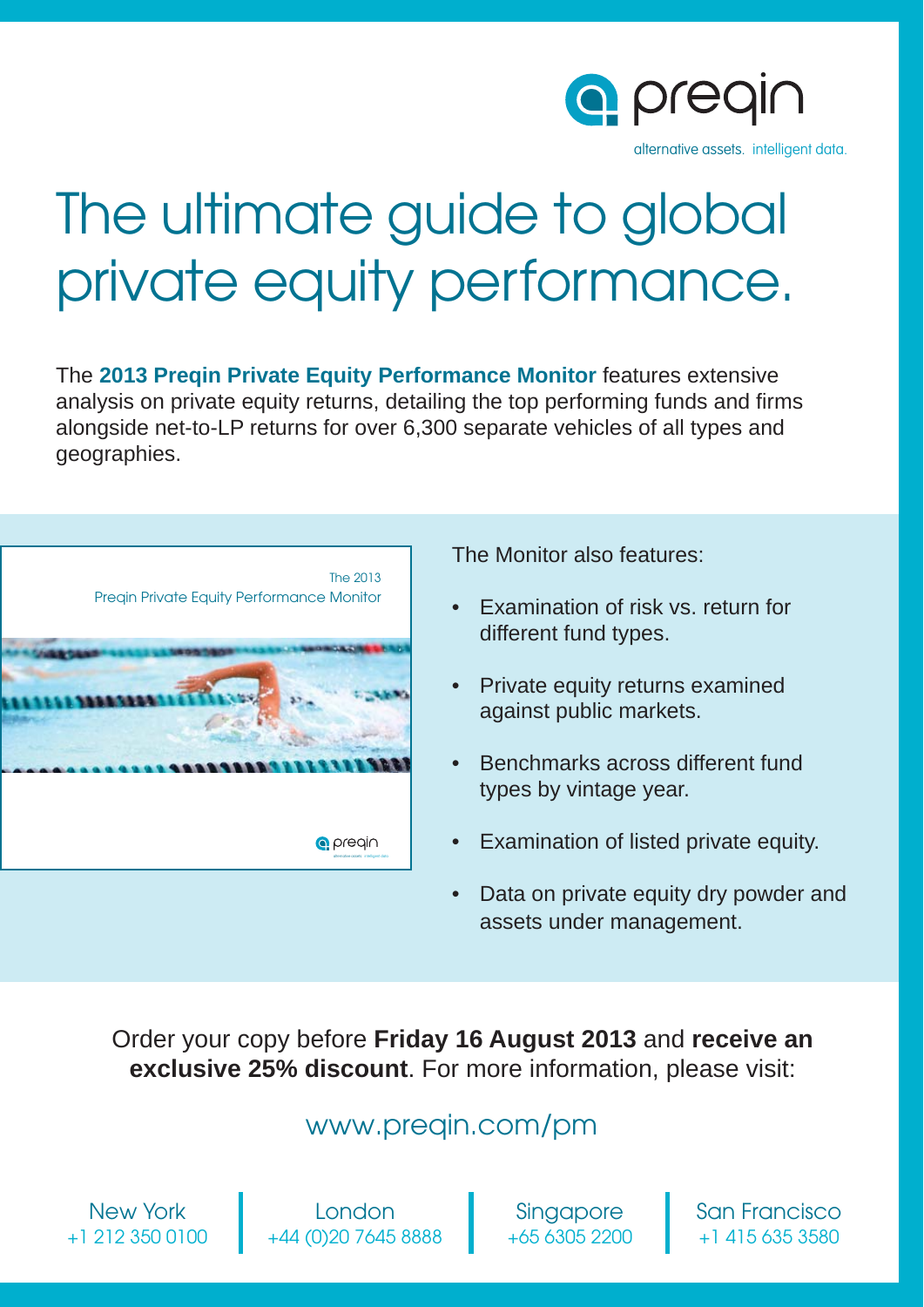

# The ultimate guide to global private equity performance.

The **2013 Preqin Private Equity Performance Monitor** features extensive analysis on private equity returns, detailing the top performing funds and firms alongside net-to-LP returns for over 6,300 separate vehicles of all types and geographies.



The Monitor also features:

- Examination of risk vs. return for different fund types.
- Private equity returns examined against public markets.
- Benchmarks across different fund types by vintage year.
- Examination of listed private equity.
- Data on private equity dry powder and assets under management.

Order your copy before **Friday 16 August 2013** and **receive an exclusive 25% discount**. For more information, please visit:

### www.preqin.com/pm

New York +1 212 350 0100

London +44 (0)20 7645 8888

Singapore +65 6305 2200 San Francisco +1 415 635 3580